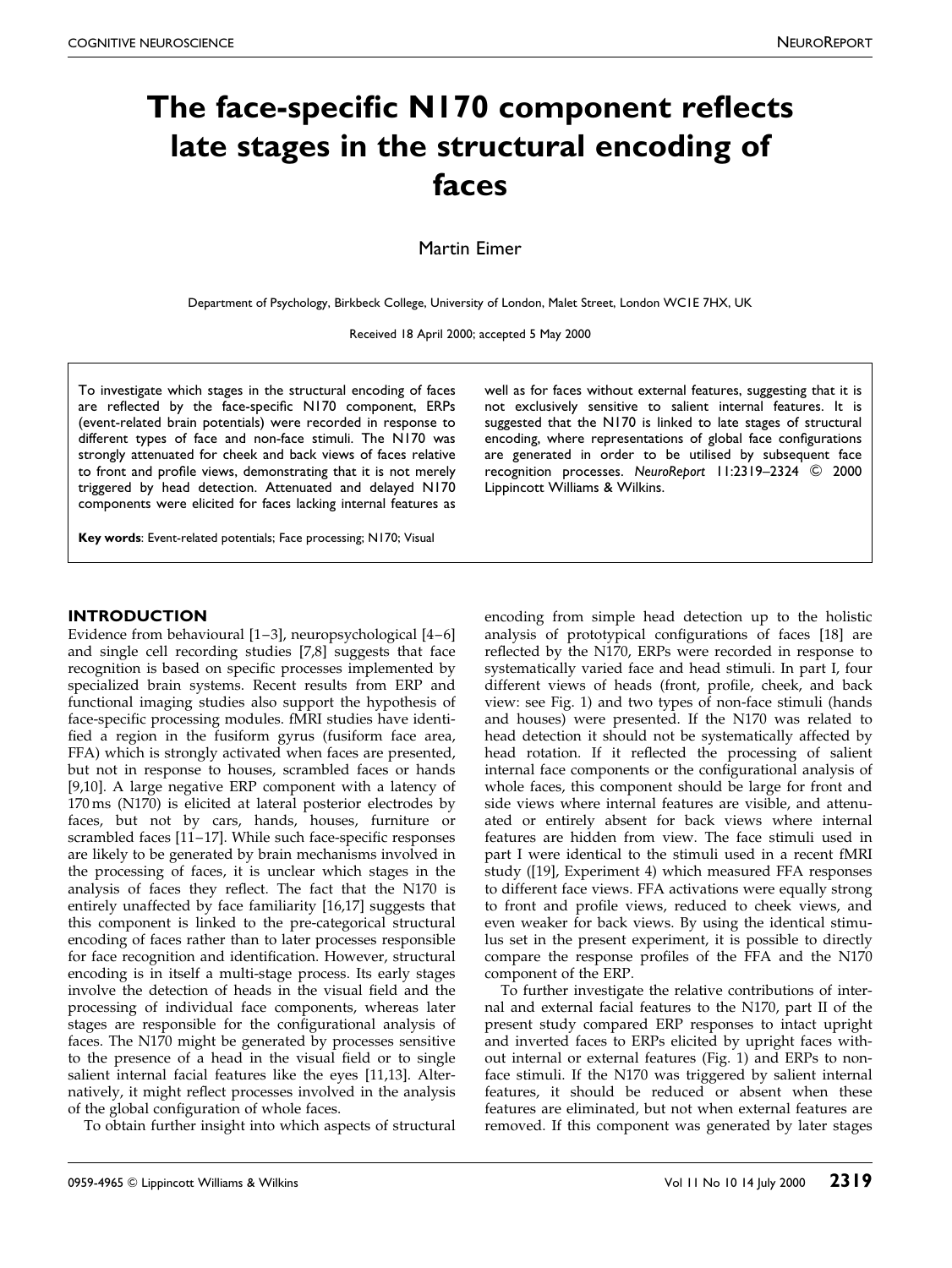# The face-specific N170 component reflects late stages in the structural encoding of faces

Martin Eimer

Department of Psychology, Birkbeck College, University of London, Malet Street, London WC1E 7HX, UK

Received 18 April 2000; accepted 5 May 2000

To investigate which stages in the structural encoding of faces are reflected by the face-specific N170 component, ERPs (event-related brain potentials) were recorded in response to different types of face and non-face stimuli. The N170 was strongly attenuated for cheek and back views of faces relative to front and profile views, demonstrating that it is not merely triggered by head detection. Attenuated and delayed N170 components were elicited for faces lacking internal features as

well as for faces without external features, suggesting that it is not exclusively sensitive to salient internal features. It is suggested that the N170 is linked to late stages of structural encoding, where representations of global face configurations are generated in order to be utilised by subsequent face recognition processes. NeuroReport 11:2319-2324 © 2000 Lippincott Williams & Wilkins.

Key words: Event-related potentials; Face processing; N170; Visual

#### **INTRODUCTION**

Evidence from behavioural  $[1-3]$ , neuropsychological  $[4-6]$ and single cell recording studies [\[7,8\]](#page-4-0) suggests that face recognition is based on specific processes implemented by specialized brain systems. Recent results from ERP and functional imaging studies also support the hypothesis of face-specific processing modules. fMRI studies have identified a region in the fusiform gyrus (fusiform face area, FFA) which is strongly activated when faces are presented, but not in response to houses, scrambled faces or hands [\[9,10\].](#page-4-0) A large negative ERP component with a latency of 170 ms (N170) is elicited at lateral posterior electrodes by faces, but not by cars, hands, houses, furniture or scrambled faces  $[11-17]$ . While such face-specific responses are likely to be generated by brain mechanisms involved in the processing of faces, it is unclear which stages in the analysis of faces they reflect. The fact that the N170 is entirely unaffected by face familiarity [\[16,](#page-4-0)[17\]](#page-5-0) suggests that this component is linked to the pre-categorical structural encoding of faces rather than to later processes responsible for face recognition and identification. However, structural encoding is in itself a multi-stage process. Its early stages involve the detection of heads in the visual field and the processing of individual face components, whereas later stages are responsible for the configurational analysis of faces. The N170 might be generated by processes sensitive to the presence of a head in the visual field or to single salient internal facial features like the eyes [\[11,13\].](#page-4-0) Alternatively, it might reflect processes involved in the analysis of the global configuration of whole faces.

To obtain further insight into which aspects of structural

encoding from simple head detection up to the holistic analysis of prototypical configurations of faces [\[18\]](#page-5-0) are reflected by the N170, ERPs were recorded in response to systematically varied face and head stimuli. In part I, four different views of heads (front, profile, cheek, and back view: see Fig. [1\)](#page-1-0) and two types of non-face stimuli (hands and houses) were presented. If the N170 was related to head detection it should not be systematically affected by head rotation. If it reflected the processing of salient internal face components or the configurational analysis of whole faces, this component should be large for front and side views where internal features are visible, and attenuated or entirely absent for back views where internal features are hidden from view. The face stimuli used in part I were identical to the stimuli used in a recent fMRI study ([\[19\],](#page-5-0) Experiment 4) which measured FFA responses to different face views. FFA activations were equally strong to front and profile views, reduced to cheek views, and even weaker for back views. By using the identical stimulus set in the present experiment, it is possible to directly compare the response profiles of the FFA and the N170 component of the ERP.

To further investigate the relative contributions of internal and external facial features to the N170, part II of the present study compared ERP responses to intact upright and inverted faces to ERPs elicited by upright faces without internal or external features (Fig. [1\)](#page-1-0) and ERPs to nonface stimuli. If the N170 was triggered by salient internal features, it should be reduced or absent when these features are eliminated, but not when external features are removed. If this component was generated by later stages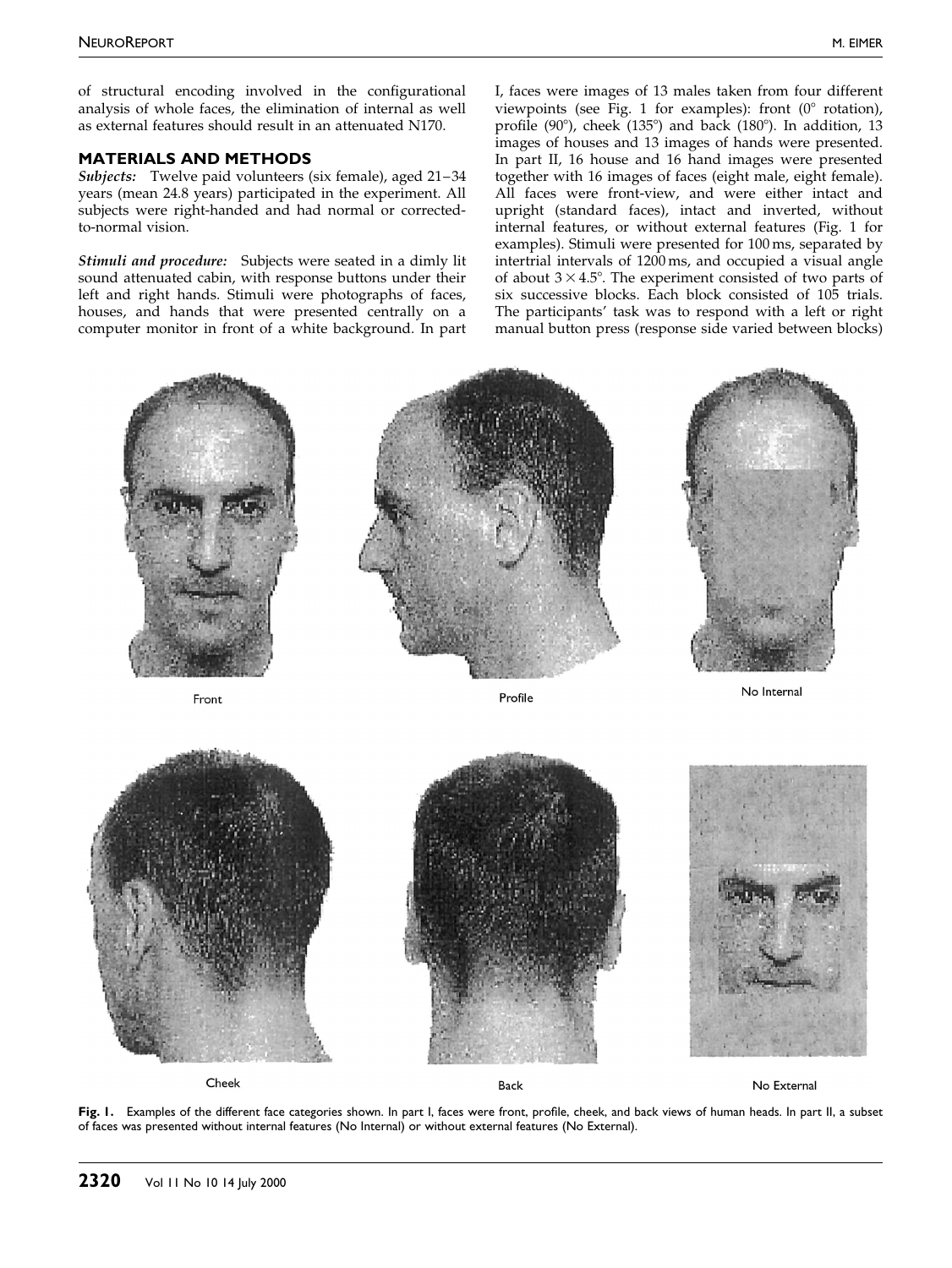<span id="page-1-0"></span>of structural encoding involved in the configurational analysis of whole faces, the elimination of internal as well as external features should result in an attenuated N170.

## MATERIALS AND METHODS

Subjects: Twelve paid volunteers (six female), aged  $21-34$ years (mean 24.8 years) participated in the experiment. All subjects were right-handed and had normal or correctedto-normal vision.

Stimuli and procedure: Subjects were seated in a dimly lit sound attenuated cabin, with response buttons under their left and right hands. Stimuli were photographs of faces, houses, and hands that were presented centrally on a computer monitor in front of a white background. In part

I, faces were images of 13 males taken from four different viewpoints (see Fig. 1 for examples): front  $(0^{\circ}$  rotation), profile (90 $^{\circ}$ ), cheek (135 $^{\circ}$ ) and back (180 $^{\circ}$ ). In addition, 13 images of houses and 13 images of hands were presented. In part II, 16 house and 16 hand images were presented together with 16 images of faces (eight male, eight female). All faces were front-view, and were either intact and upright (standard faces), intact and inverted, without internal features, or without external features (Fig. 1 for examples). Stimuli were presented for 100 ms, separated by intertrial intervals of 1200 ms, and occupied a visual angle of about  $3 \times 4.5^{\circ}$ . The experiment consisted of two parts of six successive blocks. Each block consisted of 105 trials. The participants' task was to respond with a left or right manual button press (response side varied between blocks)



Fig. 1. Examples of the different face categories shown. In part I, faces were front, profile, cheek, and back views of human heads. In part II, a subset of faces was presented without internal features (No Internal) or without external features (No External).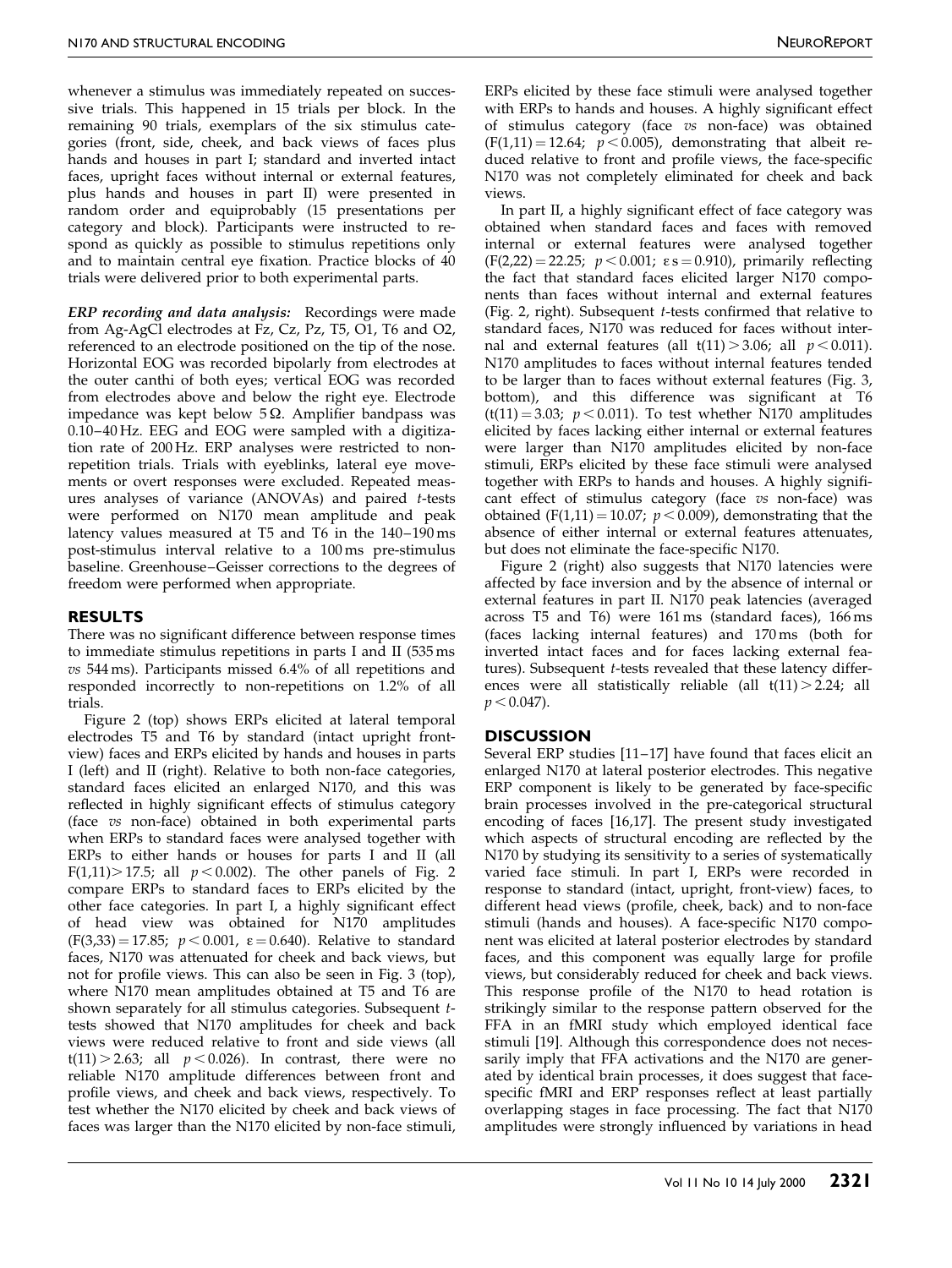whenever a stimulus was immediately repeated on successive trials. This happened in 15 trials per block. In the remaining 90 trials, exemplars of the six stimulus categories (front, side, cheek, and back views of faces plus hands and houses in part I; standard and inverted intact faces, upright faces without internal or external features, plus hands and houses in part II) were presented in random order and equiprobably (15 presentations per category and block). Participants were instructed to respond as quickly as possible to stimulus repetitions only and to maintain central eye fixation. Practice blocks of 40 trials were delivered prior to both experimental parts.

ERP recording and data analysis: Recordings were made from Ag-AgCl electrodes at Fz, Cz, Pz, T5, O1, T6 and O2, referenced to an electrode positioned on the tip of the nose. Horizontal EOG was recorded bipolarly from electrodes at the outer canthi of both eyes; vertical EOG was recorded from electrodes above and below the right eye. Electrode impedance was kept below  $5\Omega$ . Amplifier bandpass was 0.10-40 Hz. EEG and EOG were sampled with a digitization rate of 200 Hz. ERP analyses were restricted to nonrepetition trials. Trials with eyeblinks, lateral eye movements or overt responses were excluded. Repeated measures analyses of variance (ANOVAs) and paired t-tests were performed on N170 mean amplitude and peak latency values measured at T5 and T6 in the  $140-190 \text{ ms}$ post-stimulus interval relative to a 100 ms pre-stimulus baseline. Greenhouse-Geisser corrections to the degrees of freedom were performed when appropriate.

## RESULTS

There was no significant difference between response times to immediate stimulus repetitions in parts I and II (535 ms vs 544 ms). Participants missed 6.4% of all repetitions and responded incorrectly to non-repetitions on 1.2% of all trials.

Figure [2](#page-3-0) (top) shows ERPs elicited at lateral temporal electrodes T5 and T6 by standard (intact upright frontview) faces and ERPs elicited by hands and houses in parts I (left) and II (right). Relative to both non-face categories, standard faces elicited an enlarged N170, and this was reflected in highly significant effects of stimulus category (face vs non-face) obtained in both experimental parts when ERPs to standard faces were analysed together with ERPs to either hands or houses for parts I and II (all F(1,11) $>$  17.5; all  $p$  < 0.002). The other panels of Fig. [2](#page-3-0) compare ERPs to standard faces to ERPs elicited by the other face categories. In part I, a highly significant effect of head view was obtained for N170 amplitudes  $(F(3,33) = 17.85; p < 0.001, \varepsilon = 0.640)$ . Relative to standard faces, N170 was attenuated for cheek and back views, but not for profile views. This can also be seen in Fig. [3 \(](#page-4-0)top), where N170 mean amplitudes obtained at T5 and T6 are shown separately for all stimulus categories. Subsequent ttests showed that N170 amplitudes for cheek and back views were reduced relative to front and side views (all  $t(11) > 2.63$ ; all  $p < 0.026$ ). In contrast, there were no reliable N170 amplitude differences between front and profile views, and cheek and back views, respectively. To test whether the N170 elicited by cheek and back views of faces was larger than the N170 elicited by non-face stimuli,

ERPs elicited by these face stimuli were analysed together with ERPs to hands and houses. A highly significant effect of stimulus category (face vs non-face) was obtained  $(F(1,11) = 12.64; p < 0.005)$ , demonstrating that albeit reduced relative to front and profile views, the face-specific N170 was not completely eliminated for cheek and back views.

In part II, a highly significant effect of face category was obtained when standard faces and faces with removed internal or external features were analysed together  $(F(2,22) = 22.25; p < 0.001; \varepsilon s = 0.910)$ , primarily reflecting the fact that standard faces elicited larger N170 components than faces without internal and external features (Fig. [2,](#page-3-0) right). Subsequent  $t$ -tests confirmed that relative to standard faces, N170 was reduced for faces without internal and external features (all  $t(11) > 3.06$ ; all  $p < 0.011$ ). N170 amplitudes to faces without internal features tended to be larger than to faces without external features (Fig. [3,](#page-4-0) bottom), and this difference was significant at T6  $(t(11) = 3.03$ ;  $p < 0.011$ ). To test whether N170 amplitudes elicited by faces lacking either internal or external features were larger than N170 amplitudes elicited by non-face stimuli, ERPs elicited by these face stimuli were analysed together with ERPs to hands and houses. A highly significant effect of stimulus category (face vs non-face) was obtained (F(1,11) = 10.07;  $p < 0.009$ ), demonstrating that the absence of either internal or external features attenuates, but does not eliminate the face-specific N170.

Figure [2](#page-3-0) (right) also suggests that N170 latencies were affected by face inversion and by the absence of internal or external features in part II. N170 peak latencies (averaged across T5 and T6) were 161 ms (standard faces), 166 ms (faces lacking internal features) and 170 ms (both for inverted intact faces and for faces lacking external features). Subsequent  $t$ -tests revealed that these latency differences were all statistically reliable (all  $t(11) > 2.24$ ; all  $p < 0.047$ ).

### **DISCUSSION**

Several ERP studies [11-17] have found that faces elicit an enlarged N170 at lateral posterior electrodes. This negative ERP component is likely to be generated by face-specific brain processes involved in the pre-categorical structural encoding of faces [\[16,](#page-4-0)[17\].](#page-5-0) The present study investigated which aspects of structural encoding are reflected by the N170 by studying its sensitivity to a series of systematically varied face stimuli. In part I, ERPs were recorded in response to standard (intact, upright, front-view) faces, to different head views (profile, cheek, back) and to non-face stimuli (hands and houses). A face-specific N170 component was elicited at lateral posterior electrodes by standard faces, and this component was equally large for profile views, but considerably reduced for cheek and back views. This response profile of the N170 to head rotation is strikingly similar to the response pattern observed for the FFA in an fMRI study which employed identical face stimuli [\[19\].](#page-5-0) Although this correspondence does not necessarily imply that FFA activations and the N170 are generated by identical brain processes, it does suggest that facespecific fMRI and ERP responses reflect at least partially overlapping stages in face processing. The fact that N170 amplitudes were strongly influenced by variations in head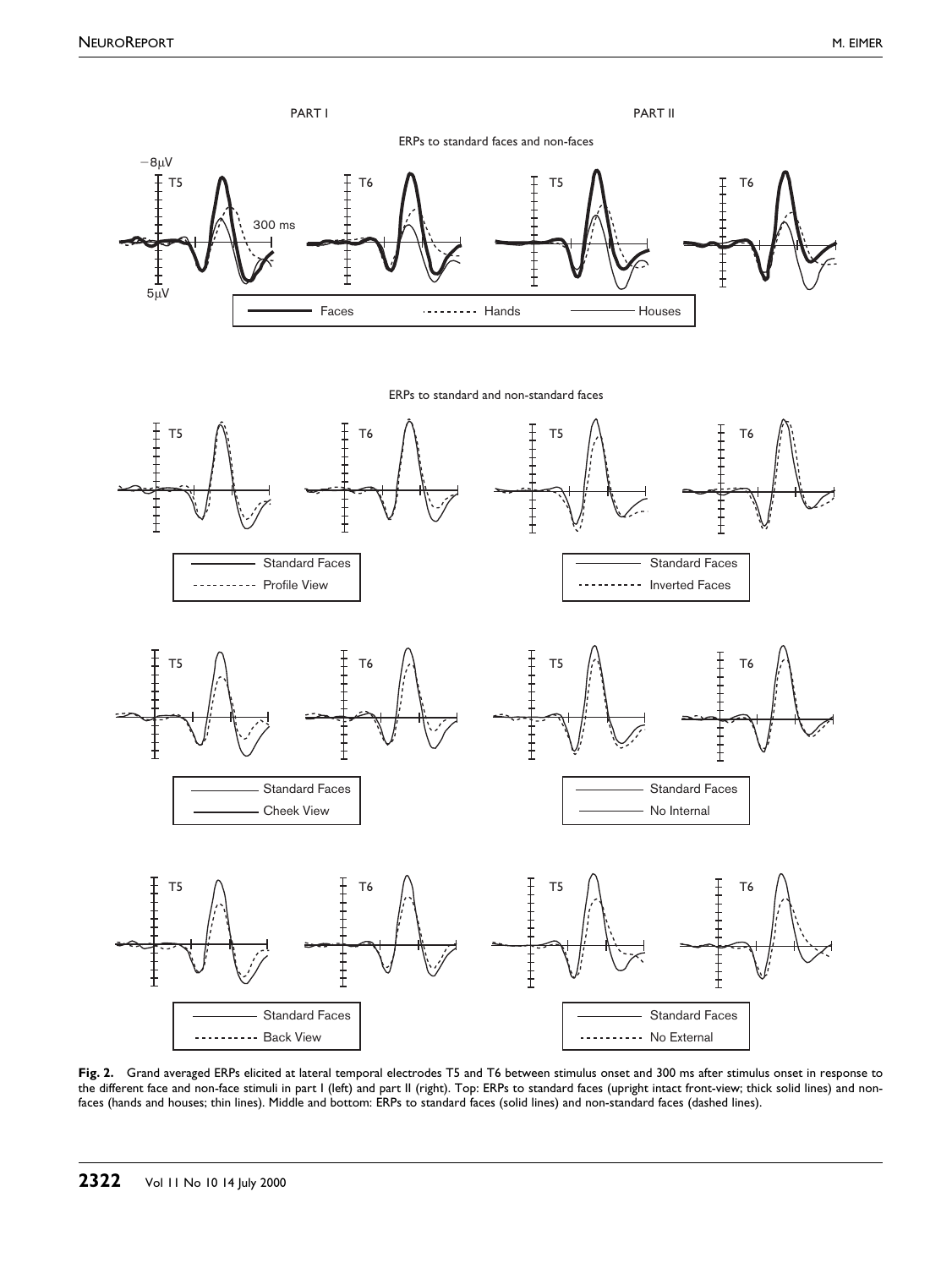<span id="page-3-0"></span>

--------- Profile View







--------- Inverted Faces









Fig. 2. Grand averaged ERPs elicited at lateral temporal electrodes T5 and T6 between stimulus onset and 300 ms after stimulus onset in response to the different face and non-face stimuli in part I (left) and part II (right). Top: ERPs to standard faces (upright intact front-view; thick solid lines) and nonfaces (hands and houses; thin lines). Middle and bottom: ERPs to standard faces (solid lines) and non-standard faces (dashed lines).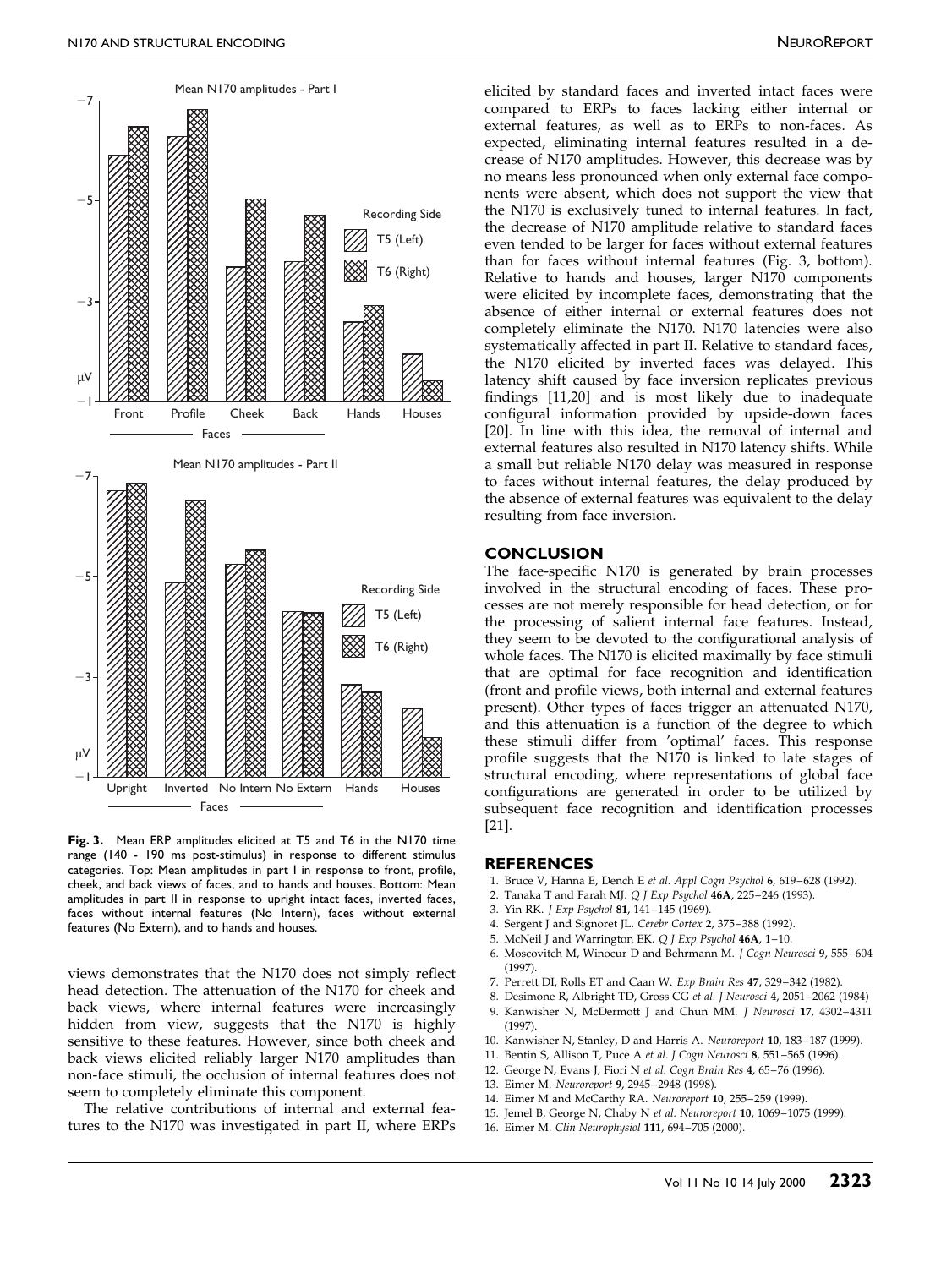<span id="page-4-0"></span>

Fig. 3. Mean ERP amplitudes elicited at T5 and T6 in the N170 time range (140 - 190 ms post-stimulus) in response to different stimulus categories. Top: Mean amplitudes in part I in response to front, profile, cheek, and back views of faces, and to hands and houses. Bottom: Mean amplitudes in part II in response to upright intact faces, inverted faces, faces without internal features (No Intern), faces without external features (No Extern), and to hands and houses.

views demonstrates that the N170 does not simply reflect head detection. The attenuation of the N170 for cheek and back views, where internal features were increasingly hidden from view, suggests that the N170 is highly sensitive to these features. However, since both cheek and back views elicited reliably larger N170 amplitudes than non-face stimuli, the occlusion of internal features does not seem to completely eliminate this component.

The relative contributions of internal and external features to the N170 was investigated in part II, where ERPs elicited by standard faces and inverted intact faces were compared to ERPs to faces lacking either internal or external features, as well as to ERPs to non-faces. As expected, eliminating internal features resulted in a decrease of N170 amplitudes. However, this decrease was by no means less pronounced when only external face components were absent, which does not support the view that the N170 is exclusively tuned to internal features. In fact, the decrease of N170 amplitude relative to standard faces even tended to be larger for faces without external features than for faces without internal features (Fig. 3, bottom). Relative to hands and houses, larger N170 components were elicited by incomplete faces, demonstrating that the absence of either internal or external features does not completely eliminate the N170. N170 latencies were also systematically affected in part II. Relative to standard faces, the N170 elicited by inverted faces was delayed. This latency shift caused by face inversion replicates previous findings [1[1,20\]](#page-5-0) and is most likely due to inadequate configural information provided by upside-down faces [\[20\].](#page-5-0) In line with this idea, the removal of internal and external features also resulted in N170 latency shifts. While a small but reliable N170 delay was measured in response to faces without internal features, the delay produced by the absence of external features was equivalent to the delay resulting from face inversion.

#### **CONCLUSION**

The face-specific N170 is generated by brain processes involved in the structural encoding of faces. These processes are not merely responsible for head detection, or for the processing of salient internal face features. Instead, they seem to be devoted to the configurational analysis of whole faces. The N170 is elicited maximally by face stimuli that are optimal for face recognition and identification (front and profile views, both internal and external features present). Other types of faces trigger an attenuated N170, and this attenuation is a function of the degree to which these stimuli differ from 'optimal' faces. This response profile suggests that the  $N170$  is linked to late stages of structural encoding, where representations of global face configurations are generated in order to be utilized by subsequent face recognition and identification processes [\[21\].](#page-5-0)

#### REFERENCES

- 1. Bruce V, Hanna E, Dench E et al. Appl Cogn Psychol 6, 619-628 (1992).
- 2. Tanaka T and Farah MJ. Q J Exp Psychol 46A, 225-246 (1993).
- 3. Yin RK. J Exp Psychol 81, 141-145 (1969).
- 4. Sergent J and Signoret JL. Cerebr Cortex 2, 375-388 (1992).
- 5. McNeil J and Warrington EK. Q J Exp Psychol 46A, 1-10.
- 6. Moscovitch M, Winocur D and Behrmann M. J Cogn Neurosci 9, 555-604 (1997).
- 7. Perrett DI, Rolls ET and Caan W. Exp Brain Res 47, 329-342 (1982).
- 8. Desimone R, Albright TD, Gross CG et al. J Neurosci 4, 2051-2062 (1984) 9. Kanwisher N, McDermott J and Chun MM. J Neurosci 17, 4302-4311
- (1997).
- 10. Kanwisher N, Stanley, D and Harris A. Neuroreport 10, 183-187 (1999).
- 11. Bentin S, Allison T, Puce A et al. J Cogn Neurosci 8, 551-565 (1996). 12. George N, Evans J, Fiori N et al. Cogn Brain Res 4, 65-76 (1996).
- 
- 13. Eimer M. Neuroreport 9, 2945-2948 (1998).
- 14. Eimer M and McCarthy RA. Neuroreport 10, 255-259 (1999).
- 15. Jemel B, George N, Chaby N et al. Neuroreport 10, 1069-1075 (1999).
- 16. Eimer M. Clin Neurophysiol 111, 694-705 (2000).